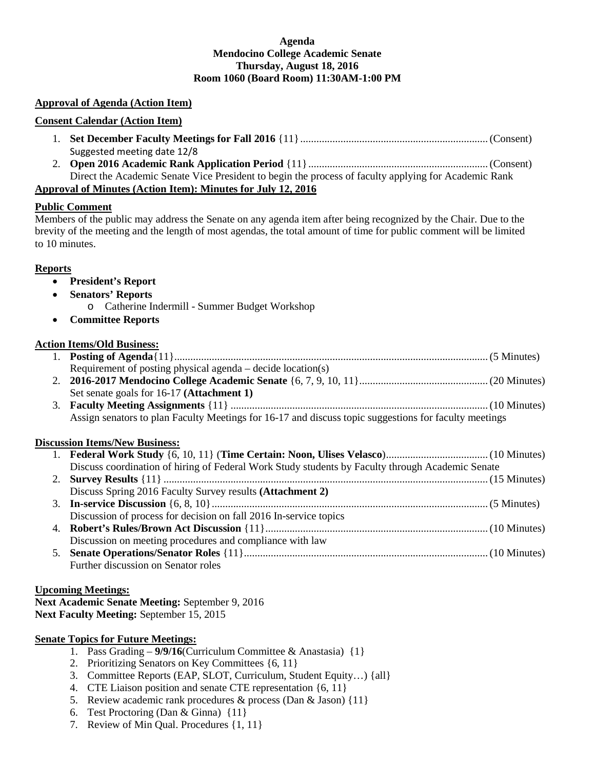#### **Agenda Mendocino College Academic Senate Thursday, August 18, 2016 Room 1060 (Board Room) 11:30AM-1:00 PM**

### **Approval of Agenda (Action Item)**

#### **Consent Calendar (Action Item)**

- 1. **Set December Faculty Meetings for Fall 2016** {11}......................................................................(Consent) Suggested meeting date 12/8
- 2. **Open 2016 Academic Rank Application Period** {11}...................................................................(Consent) Direct the Academic Senate Vice President to begin the process of faculty applying for Academic Rank

## **Approval of Minutes (Action Item): Minutes for July 12, 2016**

## **Public Comment**

Members of the public may address the Senate on any agenda item after being recognized by the Chair. Due to the brevity of the meeting and the length of most agendas, the total amount of time for public comment will be limited to 10 minutes.

## **Reports**

- **President's Report**
- **Senators' Reports**
	- o Catherine Indermill Summer Budget Workshop
- **Committee Reports**

# **Action Items/Old Business:**

- 1. **Posting of Agenda**{11}.....................................................................................................................(5 Minutes) Requirement of posting physical agenda – decide location(s) 2. **2016-2017 Mendocino College Academic Senate** {6, 7, 9, 10, 11}................................................(20 Minutes)
- Set senate goals for 16-17 **(Attachment 1)** 3. **Faculty Meeting Assignments** {11} ................................................................................................(10 Minutes) Assign senators to plan Faculty Meetings for 16-17 and discuss topic suggestions for faculty meetings

# **Discussion Items/New Business:**

| Discuss coordination of hiring of Federal Work Study students by Faculty through Academic Senate |
|--------------------------------------------------------------------------------------------------|
|                                                                                                  |
| Discuss Spring 2016 Faculty Survey results (Attachment 2)                                        |
|                                                                                                  |
| Discussion of process for decision on fall 2016 In-service topics                                |
|                                                                                                  |
| Discussion on meeting procedures and compliance with law                                         |
|                                                                                                  |
| Further discussion on Senator roles                                                              |

#### **Upcoming Meetings:**

**Next Academic Senate Meeting:** September 9, 2016 **Next Faculty Meeting:** September 15, 2015

# **Senate Topics for Future Meetings:**

- 1. Pass Grading **9/9/16**(Curriculum Committee & Anastasia) {1}
- 2. Prioritizing Senators on Key Committees {6, 11}
- 3. Committee Reports (EAP, SLOT, Curriculum, Student Equity…) {all}
- 4. CTE Liaison position and senate CTE representation {6, 11}
- 5. Review academic rank procedures & process (Dan & Jason) {11}
- 6. Test Proctoring (Dan & Ginna) {11}
- 7. Review of Min Qual. Procedures {1, 11}